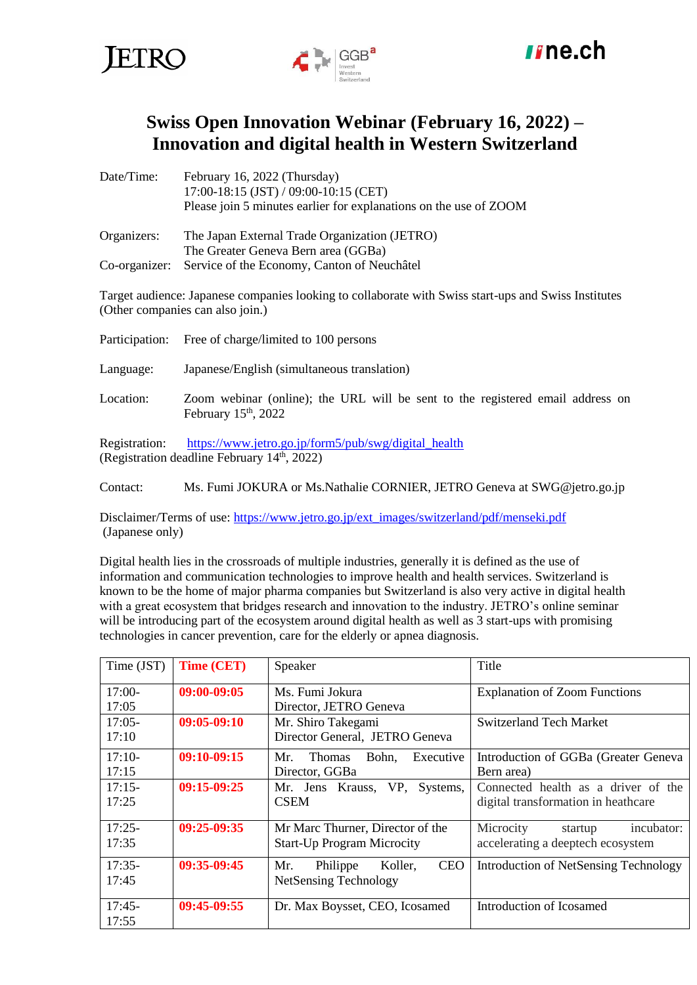





# **Swiss Open Innovation Webinar (February 16, 2022) – Innovation and digital health in Western Switzerland**

| Date/Time:  | February 16, 2022 (Thursday)                                      |  |  |  |
|-------------|-------------------------------------------------------------------|--|--|--|
|             | 17:00-18:15 (JST) / 09:00-10:15 (CET)                             |  |  |  |
|             | Please join 5 minutes earlier for explanations on the use of ZOOM |  |  |  |
| Organizers: | The Japan External Trade Organization (JETRO)                     |  |  |  |
|             | The Greater Geneva Bern area (GGBa)                               |  |  |  |
|             | Co-organizer: Service of the Economy, Canton of Neuchâtel         |  |  |  |

Target audience: Japanese companies looking to collaborate with Swiss start-ups and Swiss Institutes (Other companies can also join.)

| Participation: | Free of charge/limited to 100 persons                                                                    |  |  |
|----------------|----------------------------------------------------------------------------------------------------------|--|--|
| Language:      | Japanese/English (simultaneous translation)                                                              |  |  |
| Location:      | Zoom webinar (online); the URL will be sent to the registered email address on<br>February $15th$ , 2022 |  |  |
| Registration:  | https://www.jetro.go.jp/form5/pub/swg/digital_health<br>(Registration deadline February $14th$ , 2022)   |  |  |

Contact: Ms. Fumi JOKURA or Ms.Nathalie CORNIER, JETRO Geneva at [SWG@jetro.go.jp](mailto:SWG@jetro.go.jp)

Disclaimer/Terms of use: [https://www.jetro.go.jp/ext\\_images/switzerland/pdf/menseki.pdf](https://www.jetro.go.jp/ext_images/switzerland/pdf/menseki.pdf) (Japanese only)

Digital health lies in the crossroads of multiple industries, generally it is defined as the use of information and communication technologies to improve health and health services. Switzerland is known to be the home of major pharma companies but Switzerland is also very active in digital health with a great ecosystem that bridges research and innovation to the industry. JETRO's online seminar will be introducing part of the ecosystem around digital health as well as 3 start-ups with promising technologies in cancer prevention, care for the elderly or apnea diagnosis.

| Time (JST) | <b>Time (CET)</b> | Speaker                                    | Title                                 |
|------------|-------------------|--------------------------------------------|---------------------------------------|
| $17:00-$   | 09:00-09:05       | Ms. Fumi Jokura                            | <b>Explanation of Zoom Functions</b>  |
| 17:05      |                   | Director, JETRO Geneva                     |                                       |
| $17:05-$   | 09:05-09:10       | Mr. Shiro Takegami                         | <b>Switzerland Tech Market</b>        |
| 17:10      |                   | Director General, JETRO Geneva             |                                       |
| $17:10-$   | $09:10-09:15$     | Mr.<br>Bohn.<br>Executive<br><b>Thomas</b> | Introduction of GGBa (Greater Geneva  |
| 17:15      |                   | Director, GGBa                             | Bern area)                            |
| $17:15-$   | $09:15-09:25$     | Mr. Jens Krauss, VP,<br>Systems,           | Connected health as a driver of the   |
| 17:25      |                   | <b>CSEM</b>                                | digital transformation in heathcare   |
| $17:25-$   | 09:25-09:35       | Mr Marc Thurner, Director of the           | Microcity<br>incubator:<br>startup    |
| 17:35      |                   | <b>Start-Up Program Microcity</b>          | accelerating a deeptech ecosystem     |
| $17:35-$   | $09:35-09:45$     | <b>CEO</b><br>Mr.<br>Philippe<br>Koller.   | Introduction of NetSensing Technology |
| 17:45      |                   | <b>NetSensing Technology</b>               |                                       |
| $17:45-$   | 09:45-09:55       | Dr. Max Boysset, CEO, Icosamed             | Introduction of Icosamed              |
| 17:55      |                   |                                            |                                       |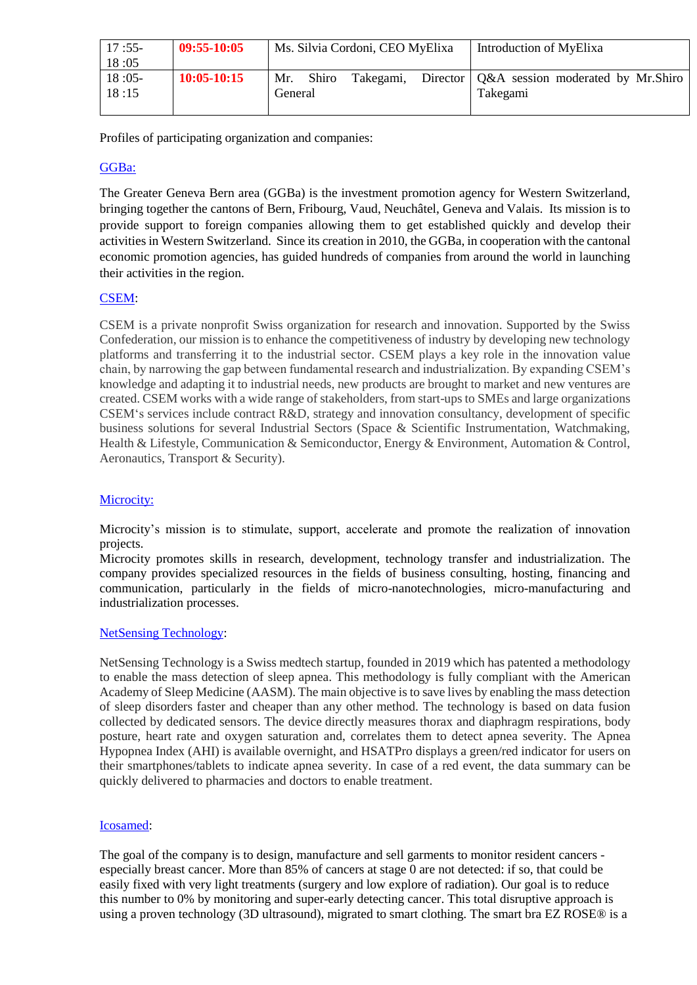| $17:55-$ | 09:55-10:05   | Ms. Silvia Cordoni, CEO MyElixa |           |  | Introduction of MyElixa                      |
|----------|---------------|---------------------------------|-----------|--|----------------------------------------------|
| 18:05    |               |                                 |           |  |                                              |
| $18:05-$ | $10:05-10:15$ | Mr.<br><b>Shiro</b>             | Takegami, |  | Director   Q&A session moderated by Mr.Shiro |
| 18:15    |               | General                         |           |  | Takegami                                     |
|          |               |                                 |           |  |                                              |

Profiles of participating organization and companies:

# [GGBa:](https://www.ggba-switzerland.ch/en/)

The Greater Geneva Bern area (GGBa) is the investment promotion agency for Western Switzerland, bringing together the cantons of Bern, Fribourg, Vaud, Neuchâtel, Geneva and Valais. Its mission is to provide support to foreign companies allowing them to get established quickly and develop their activities in Western Switzerland. Since its creation in 2010, the GGBa, in cooperation with the cantonal economic promotion agencies, has guided hundreds of companies from around the world in launching their activities in the region.

### [CSEM:](https://www.csem.ch/Home)

CSEM is a private nonprofit Swiss organization for research and innovation. Supported by the Swiss Confederation, our mission is to enhance the competitiveness of industry by developing new technology platforms and transferring it to the industrial sector. CSEM plays a key role in the innovation value chain, by narrowing the gap between fundamental research and industrialization. By expanding CSEM's knowledge and adapting it to industrial needs, new products are brought to market and new ventures are created. CSEM works with a wide range of stakeholders, from start-ups to SMEs and large organizations CSEM's services include contract R&D, strategy and innovation consultancy, development of specific business solutions for several Industrial Sectors (Space & Scientific Instrumentation, Watchmaking, Health & Lifestyle, Communication & Semiconductor, Energy & Environment, Automation & Control, Aeronautics, Transport & Security).

# [Microcity:](https://www.microcity.ch/en/home)

Microcity's mission is to stimulate, support, accelerate and promote the realization of innovation projects.

Microcity promotes skills in research, development, technology transfer and industrialization. The company provides specialized resources in the fields of business consulting, hosting, financing and communication, particularly in the fields of micro-nanotechnologies, micro-manufacturing and industrialization processes.

### [NetSensing Technology:](http://www.netsensing.ch/)

NetSensing Technology is a Swiss medtech startup, founded in 2019 which has patented a methodology to enable the mass detection of sleep apnea. This methodology is fully compliant with the American Academy of Sleep Medicine (AASM). The main objective is to save lives by enabling the mass detection of sleep disorders faster and cheaper than any other method. The technology is based on data fusion collected by dedicated sensors. The device directly measures thorax and diaphragm respirations, body posture, heart rate and oxygen saturation and, correlates them to detect apnea severity. The Apnea Hypopnea Index (AHI) is available overnight, and HSATPro displays a green/red indicator for users on their smartphones/tablets to indicate apnea severity. In case of a red event, the data summary can be quickly delivered to pharmacies and doctors to enable treatment.

### [Icosamed:](https://icosamed.com/)

The goal of the company is to design, manufacture and sell garments to monitor resident cancers especially breast cancer. More than 85% of cancers at stage 0 are not detected: if so, that could be easily fixed with very light treatments (surgery and low explore of radiation). Our goal is to reduce this number to 0% by monitoring and super-early detecting cancer. This total disruptive approach is using a proven technology (3D ultrasound), migrated to smart clothing. The smart bra EZ ROSE® is a